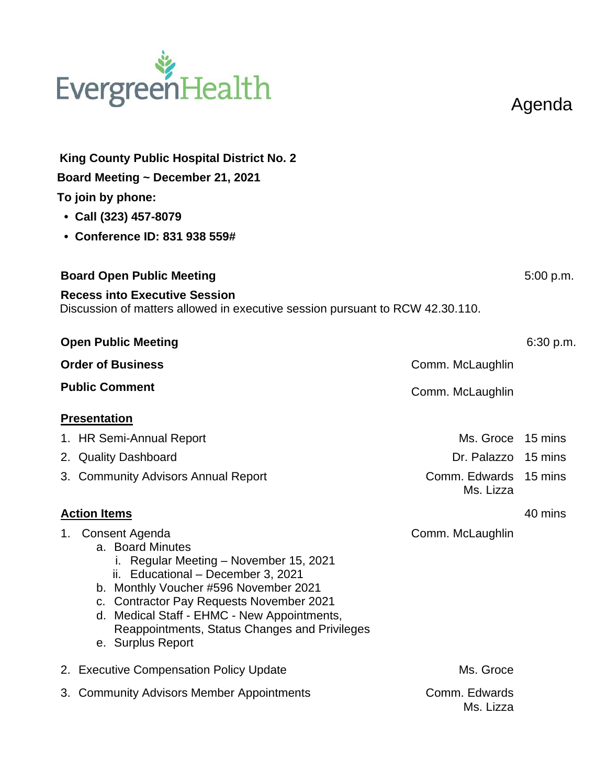## EvergreenHealth

Agenda

|                     | King County Public Hospital District No. 2<br>Board Meeting ~ December 21, 2021<br>To join by phone:<br>• Call (323) 457-8079<br>• Conference ID: 831 938 559#                                                                                                                                                                      |                                    |           |
|---------------------|-------------------------------------------------------------------------------------------------------------------------------------------------------------------------------------------------------------------------------------------------------------------------------------------------------------------------------------|------------------------------------|-----------|
|                     | <b>Board Open Public Meeting</b><br><b>Recess into Executive Session</b>                                                                                                                                                                                                                                                            |                                    |           |
|                     | Discussion of matters allowed in executive session pursuant to RCW 42.30.110.                                                                                                                                                                                                                                                       |                                    |           |
|                     | <b>Open Public Meeting</b>                                                                                                                                                                                                                                                                                                          |                                    | 6:30 p.m. |
|                     | <b>Order of Business</b>                                                                                                                                                                                                                                                                                                            | Comm. McLaughlin                   |           |
|                     | <b>Public Comment</b>                                                                                                                                                                                                                                                                                                               | Comm. McLaughlin                   |           |
|                     | <b>Presentation</b>                                                                                                                                                                                                                                                                                                                 |                                    |           |
|                     | 1. HR Semi-Annual Report                                                                                                                                                                                                                                                                                                            | Ms. Groce 15 mins                  |           |
|                     | 2. Quality Dashboard                                                                                                                                                                                                                                                                                                                | Dr. Palazzo 15 mins                |           |
|                     | 3. Community Advisors Annual Report                                                                                                                                                                                                                                                                                                 | Comm. Edwards 15 mins<br>Ms. Lizza |           |
| <b>Action Items</b> |                                                                                                                                                                                                                                                                                                                                     |                                    | 40 mins   |
| 1.                  | <b>Consent Agenda</b><br>a. Board Minutes<br>i. Regular Meeting - November 15, 2021<br>ii. Educational - December 3, 2021<br>b. Monthly Voucher #596 November 2021<br>c. Contractor Pay Requests November 2021<br>d. Medical Staff - EHMC - New Appointments,<br>Reappointments, Status Changes and Privileges<br>e. Surplus Report | Comm. McLaughlin                   |           |
|                     | 2. Executive Compensation Policy Update                                                                                                                                                                                                                                                                                             | Ms. Groce                          |           |
|                     | 3. Community Advisors Member Appointments                                                                                                                                                                                                                                                                                           | Comm. Edwards<br>Ms. Lizza         |           |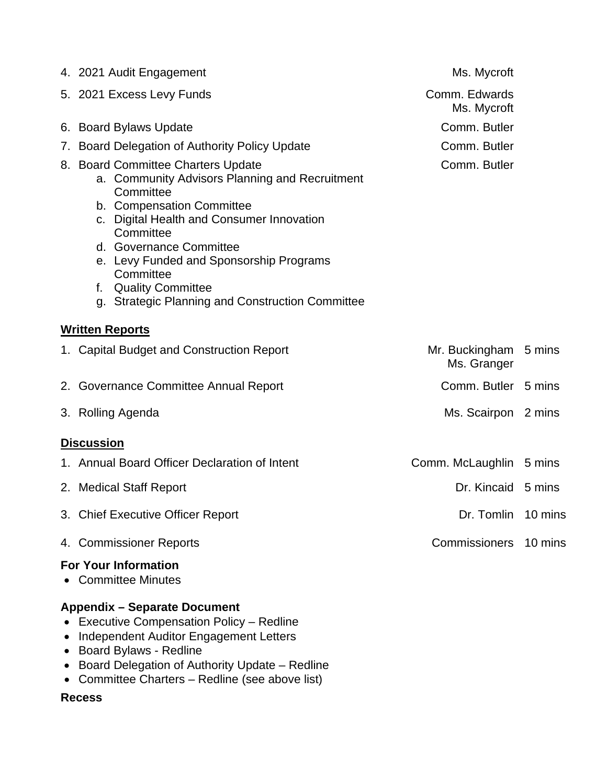|    | 4. 2021 Audit Engagement                                                                                                                                                                                                                                                                                                                                   | Ms. Mycroft                          |         |
|----|------------------------------------------------------------------------------------------------------------------------------------------------------------------------------------------------------------------------------------------------------------------------------------------------------------------------------------------------------------|--------------------------------------|---------|
|    | 5. 2021 Excess Levy Funds                                                                                                                                                                                                                                                                                                                                  | Comm. Edwards<br>Ms. Mycroft         |         |
|    | 6. Board Bylaws Update                                                                                                                                                                                                                                                                                                                                     | Comm. Butler                         |         |
| 7. | Board Delegation of Authority Policy Update                                                                                                                                                                                                                                                                                                                | Comm. Butler                         |         |
|    | 8. Board Committee Charters Update<br>a. Community Advisors Planning and Recruitment<br>Committee<br>b. Compensation Committee<br>Digital Health and Consumer Innovation<br>C.<br>Committee<br>d. Governance Committee<br>e. Levy Funded and Sponsorship Programs<br>Committee<br>f. Quality Committee<br>g. Strategic Planning and Construction Committee | Comm. Butler                         |         |
|    | <b>Written Reports</b>                                                                                                                                                                                                                                                                                                                                     |                                      |         |
|    | 1. Capital Budget and Construction Report                                                                                                                                                                                                                                                                                                                  | Mr. Buckingham 5 mins<br>Ms. Granger |         |
|    | 2. Governance Committee Annual Report                                                                                                                                                                                                                                                                                                                      | Comm. Butler 5 mins                  |         |
|    | 3. Rolling Agenda                                                                                                                                                                                                                                                                                                                                          | Ms. Scairpon 2 mins                  |         |
|    | <b>Discussion</b>                                                                                                                                                                                                                                                                                                                                          |                                      |         |
|    | 1. Annual Board Officer Declaration of Intent                                                                                                                                                                                                                                                                                                              | Comm. McLaughlin 5 mins              |         |
|    | 2. Medical Staff Report                                                                                                                                                                                                                                                                                                                                    | Dr. Kincaid 5 mins                   |         |
|    | 3. Chief Executive Officer Report                                                                                                                                                                                                                                                                                                                          | Dr. Tomlin                           | 10 mins |
|    | 4. Commissioner Reports                                                                                                                                                                                                                                                                                                                                    | <b>Commissioners</b>                 | 10 mins |
|    | <b>For Your Information</b><br>• Committee Minutes                                                                                                                                                                                                                                                                                                         |                                      |         |
|    | <b>Appendix - Separate Document</b>                                                                                                                                                                                                                                                                                                                        |                                      |         |

- Executive Compensation Policy Redline
- Independent Auditor Engagement Letters
- Board Bylaws Redline
- Board Delegation of Authority Update Redline
- Committee Charters Redline (see above list)

## **Recess**